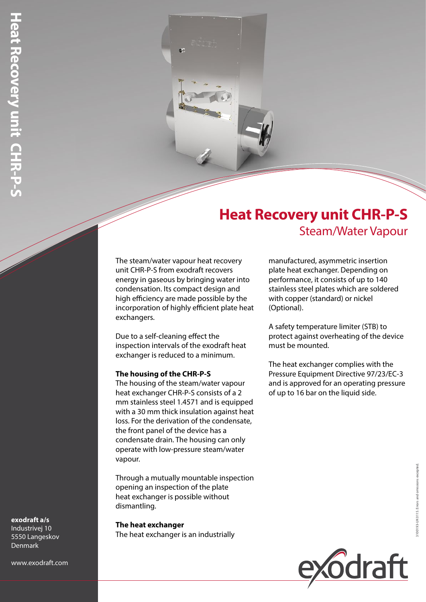# **Heat Recovery unit CHR-P-S** Steam/Water Vapour

The steam/water vapour heat recovery unit CHR-P-S from exodraft recovers energy in gaseous by bringing water into condensation. Its compact design and high efficiency are made possible by the incorporation of highly efficient plate heat exchangers.

Due to a self-cleaning effect the inspection intervals of the exodraft heat exchanger is reduced to a minimum.

## **The housing of the CHR-P-S**

The housing of the steam/water vapour heat exchanger CHR-P-S consists of a 2 mm stainless steel 1.4571 and is equipped with a 30 mm thick insulation against heat loss. For the derivation of the condensate, the front panel of the device has a condensate drain. The housing can only operate with low-pressure steam/water vapour.

Through a mutually mountable inspection opening an inspection of the plate heat exchanger is possible without dismantling.

**The heat exchanger** The heat exchanger is an industrially manufactured, asymmetric insertion plate heat exchanger. Depending on performance, it consists of up to 140 stainless steel plates which are soldered with copper (standard) or nickel (Optional).

A safety temperature limiter (STB) to protect against overheating of the device must be mounted.

The heat exchanger complies with the Pressure Equipment Directive 97/23/EC-3 and is approved for an operating pressure of up to 16 bar on the liquid side.



#### **exodraft a/s** Industrivej 10

5550 Langeskov Denmark

www.exodraft.com